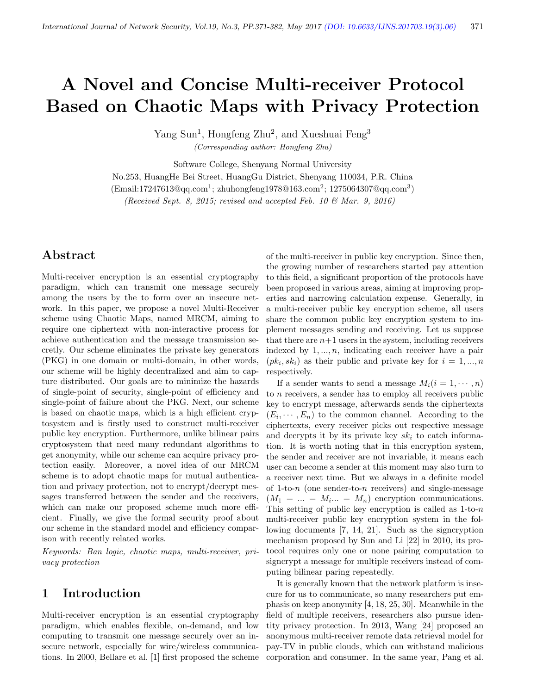# A Novel and Concise Multi-receiver Protocol Based on Chaotic Maps with Privacy Protection

Yang Sun<sup>1</sup>, Hongfeng Zhu<sup>2</sup>, and Xueshuai Feng<sup>3</sup> (Corresponding author: Hongfeng Zhu)

Software College, Shenyang Normal University

No.253, HuangHe Bei Street, HuangGu District, Shenyang 110034, P.R. China

(Email:17247613@qq.com<sup>1</sup>; zhuhongfeng1978@163.com<sup>2</sup>; 1275064307@qq.com<sup>3</sup>)

(Received Sept. 8, 2015; revised and accepted Feb. 10  $\mathcal{B}$  Mar. 9, 2016)

# Abstract

Multi-receiver encryption is an essential cryptography paradigm, which can transmit one message securely among the users by the to form over an insecure network. In this paper, we propose a novel Multi-Receiver scheme using Chaotic Maps, named MRCM, aiming to require one ciphertext with non-interactive process for achieve authentication and the message transmission secretly. Our scheme eliminates the private key generators (PKG) in one domain or multi-domain, in other words, our scheme will be highly decentralized and aim to capture distributed. Our goals are to minimize the hazards of single-point of security, single-point of efficiency and single-point of failure about the PKG. Next, our scheme is based on chaotic maps, which is a high efficient cryptosystem and is firstly used to construct multi-receiver public key encryption. Furthermore, unlike bilinear pairs cryptosystem that need many redundant algorithms to get anonymity, while our scheme can acquire privacy protection easily. Moreover, a novel idea of our MRCM scheme is to adopt chaotic maps for mutual authentication and privacy protection, not to encrypt/decrypt messages transferred between the sender and the receivers, which can make our proposed scheme much more efficient. Finally, we give the formal security proof about our scheme in the standard model and efficiency comparison with recently related works.

Keywords: Ban logic, chaotic maps, multi-receiver, privacy protection

# 1 Introduction

Multi-receiver encryption is an essential cryptography paradigm, which enables flexible, on-demand, and low computing to transmit one message securely over an insecure network, especially for wire/wireless communications. In 2000, Bellare et al. [1] first proposed the scheme of the multi-receiver in public key encryption. Since then, the growing number of researchers started pay attention to this field, a significant proportion of the protocols have been proposed in various areas, aiming at improving properties and narrowing calculation expense. Generally, in a multi-receiver public key encryption scheme, all users share the common public key encryption system to implement messages sending and receiving. Let us suppose that there are  $n+1$  users in the system, including receivers indexed by  $1, \ldots, n$ , indicating each receiver have a pair  $(pk_i, sk_i)$  as their public and private key for  $i = 1, ..., n$ respectively.

If a sender wants to send a message  $M_i(i = 1, \dots, n)$ to  $n$  receivers, a sender has to employ all receivers public key to encrypt message, afterwards sends the ciphertexts  $(E_i, \dots, E_n)$  to the common channel. According to the ciphertexts, every receiver picks out respective message and decrypts it by its private key  $sk_i$  to catch information. It is worth noting that in this encryption system, the sender and receiver are not invariable, it means each user can become a sender at this moment may also turn to a receiver next time. But we always in a definite model of 1-to-n (one sender-to-n receivers) and single-message  $(M_1 = ... = M_i... = M_n)$  encryption communications. This setting of public key encryption is called as  $1$ -to- $n$ multi-receiver public key encryption system in the following documents [7, 14, 21]. Such as the signcryption mechanism proposed by Sun and Li [22] in 2010, its protocol requires only one or none pairing computation to signcrypt a message for multiple receivers instead of computing bilinear paring repeatedly.

It is generally known that the network platform is insecure for us to communicate, so many researchers put emphasis on keep anonymity [4, 18, 25, 30]. Meanwhile in the field of multiple receivers, researchers also pursue identity privacy protection. In 2013, Wang [24] proposed an anonymous multi-receiver remote data retrieval model for pay-TV in public clouds, which can withstand malicious corporation and consumer. In the same year, Pang et al.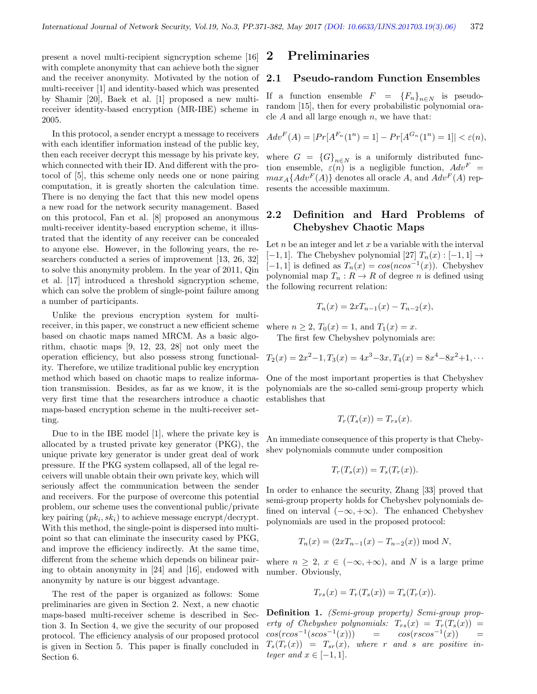present a novel multi-recipient signcryption scheme [16] with complete anonymity that can achieve both the signer and the receiver anonymity. Motivated by the notion of multi-receiver [1] and identity-based which was presented by Shamir [20], Baek et al. [1] proposed a new multireceiver identity-based encryption (MR-IBE) scheme in 2005.

In this protocol, a sender encrypt a message to receivers with each identifier information instead of the public key, then each receiver decrypt this message by his private key, which connected with their ID. And different with the protocol of [5], this scheme only needs one or none pairing computation, it is greatly shorten the calculation time. There is no denying the fact that this new model opens a new road for the network security management. Based on this protocol, Fan et al. [8] proposed an anonymous multi-receiver identity-based encryption scheme, it illustrated that the identity of any receiver can be concealed to anyone else. However, in the following years, the researchers conducted a series of improvement [13, 26, 32] to solve this anonymity problem. In the year of 2011, Qin et al. [17] introduced a threshold signcryption scheme, which can solve the problem of single-point failure among a number of participants.

Unlike the previous encryption system for multireceiver, in this paper, we construct a new efficient scheme based on chaotic maps named MRCM. As a basic algorithm, chaotic maps [9, 12, 23, 28] not only meet the operation efficiency, but also possess strong functionality. Therefore, we utilize traditional public key encryption method which based on chaotic maps to realize information transmission. Besides, as far as we know, it is the very first time that the researchers introduce a chaotic maps-based encryption scheme in the multi-receiver setting.

Due to in the IBE model [1], where the private key is allocated by a trusted private key generator (PKG), the unique private key generator is under great deal of work pressure. If the PKG system collapsed, all of the legal receivers will unable obtain their own private key, which will seriously affect the communication between the sender and receivers. For the purpose of overcome this potential problem, our scheme uses the conventional public/private key pairing  $(pk_i, sk_i)$  to achieve message encrypt/decrypt. With this method, the single-point is dispersed into multipoint so that can eliminate the insecurity cased by PKG, and improve the efficiency indirectly. At the same time, different from the scheme which depends on bilinear pairing to obtain anonymity in [24] and [16], endowed with anonymity by nature is our biggest advantage.

The rest of the paper is organized as follows: Some preliminaries are given in Section 2. Next, a new chaotic maps-based multi-receiver scheme is described in Section 3. In Section 4, we give the security of our proposed protocol. The efficiency analysis of our proposed protocol is given in Section 5. This paper is finally concluded in Section 6.

# 2 Preliminaries

#### 2.1 Pseudo-random Function Ensembles

If a function ensemble  $F = \{F_n\}_{n \in N}$  is pseudorandom [15], then for every probabilistic polynomial oracle  $A$  and all large enough  $n$ , we have that:

$$
Adv^{F}(A) = |Pr[A^{F_n}(1^n) = 1] - Pr[A^{G_n}(1^n) = 1]| < \varepsilon(n),
$$

where  $G = {G}_{n \in N}$  is a uniformly distributed function ensemble,  $\varepsilon(n)$  is a negligible function,  $Adv^F =$  $max_A\{Adv^F(A)\}\)$  denotes all oracle A, and  $Adv^F(A)$  represents the accessible maximum.

## 2.2 Definition and Hard Problems of Chebyshev Chaotic Maps

Let  $n$  be an integer and let  $x$  be a variable with the interval [−1, 1]. The Chebyshev polynomial [27]  $T_n(x) : [-1, 1] \rightarrow$ [-1, 1] is defined as  $T_n(x) = \cos(n\cos^{-1}(x))$ . Chebyshev polynomial map  $T_n: R \to R$  of degree n is defined using the following recurrent relation:

$$
T_n(x) = 2xT_{n-1}(x) - T_{n-2}(x),
$$

where  $n \ge 2$ ,  $T_0(x) = 1$ , and  $T_1(x) = x$ .

The first few Chebyshev polynomials are:

$$
T_2(x) = 2x^2 - 1, T_3(x) = 4x^3 - 3x, T_4(x) = 8x^4 - 8x^2 + 1, \cdots
$$

One of the most important properties is that Chebyshev polynomials are the so-called semi-group property which establishes that

$$
T_r(T_s(x)) = T_{rs}(x).
$$

An immediate consequence of this property is that Chebyshev polynomials commute under composition

$$
T_r(T_s(x)) = T_s(T_r(x)).
$$

In order to enhance the security, Zhang [33] proved that semi-group property holds for Chebyshev polynomials defined on interval  $(-\infty, +\infty)$ . The enhanced Chebyshev polynomials are used in the proposed protocol:

$$
T_n(x) = (2xT_{n-1}(x) - T_{n-2}(x)) \bmod N,
$$

where  $n > 2$ ,  $x \in (-\infty, +\infty)$ , and N is a large prime number. Obviously,

$$
T_{rs}(x) = T_r(T_s(x)) = T_s(T_r(x)).
$$

Definition 1. (Semi-group property) Semi-group property of Chebyshev polynomials:  $T_{rs}(x) = T_r(T_s(x)) =$  $cos(rcos^{-1}(scos^{-1}(x)))$  =  $cos(rscos^{-1}(x))$  =  $T_s(T_r(x)) = T_{sr}(x)$ , where r and s are positive integer and  $x \in [-1, 1]$ .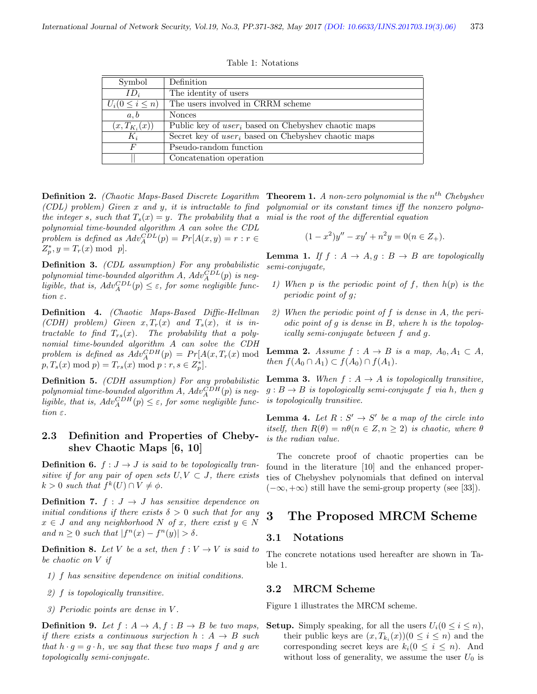Table 1: Notations

| Symbol               | Definition                                             |
|----------------------|--------------------------------------------------------|
| $ID_i$               | The identity of users                                  |
| $U_i(0\leq i\leq n)$ | The users involved in CRRM scheme                      |
| a, b                 | <b>Nonces</b>                                          |
| $(x, T_{K_i}(x))$    | Public key of $user_i$ based on Chebyshev chaotic maps |
| $K_i$                | Secret key of $user_i$ based on Chebyshev chaotic maps |
| F                    | Pseudo-random function                                 |
|                      | Concatenation operation                                |

Definition 2. (Chaotic Maps-Based Discrete Logarithm (CDL) problem) Given x and y, it is intractable to find the integer s, such that  $T_s(x) = y$ . The probability that a polynomial time-bounded algorithm A can solve the CDL problem is defined as  $Adv_{A}^{CDL}(p) = Pr[A(x, y) = r : r \in$  $Z_p^*, y = T_r(x) \text{ mod } p.$ 

Definition 3. (CDL assumption) For any probabilistic polynomial time-bounded algorithm A,  $Adv_{A}^{CDL}(p)$  is negligible, that is,  $Adv_A^{CDL}(p) \leq \varepsilon$ , for some negligible function  $\varepsilon$ .

Definition 4. (Chaotic Maps-Based Diffie-Hellman (CDH) problem) Given  $x, T_r(x)$  and  $T_s(x)$ , it is intractable to find  $T_{rs}(x)$ . The probability that a polynomial time-bounded algorithm A can solve the CDH problem is defined as  $Adv_{A}^{CDH}(p) = Pr[A(x, T_r(x) \mod p)]$  $p, T_s(x) \bmod p = T_{rs}(x) \bmod p : r, s \in Z_p^*].$ 

Definition 5. (CDH assumption) For any probabilistic polynomial time-bounded algorithm  $A$ ,  $Adv_{A}^{CDH}(p)$  is negligible, that is,  $Adv_A^{CDH}(p) \leq \varepsilon$ , for some negligible function ε.

## 2.3 Definition and Properties of Chebyshev Chaotic Maps [6, 10]

**Definition 6.**  $f : J \rightarrow J$  is said to be topologically transitive if for any pair of open sets  $U, V \subset J$ , there exists  $k > 0$  such that  $f^k(U) \cap V \neq \phi$ .

**Definition 7.**  $f : J \rightarrow J$  has sensitive dependence on initial conditions if there exists  $\delta > 0$  such that for any  $x \in J$  and any neighborhood N of x, there exist  $y \in N$ and  $n \geq 0$  such that  $|f^n(x) - f^n(y)| > \delta$ .

**Definition 8.** Let V be a set, then  $f: V \to V$  is said to be chaotic on V if

- 1) f has sensitive dependence on initial conditions.
- 2) f is topologically transitive.
- 3) Periodic points are dense in V .

**Definition 9.** Let  $f : A \rightarrow A, f : B \rightarrow B$  be two maps, if there exists a continuous surjection  $h : A \rightarrow B$  such that  $h \cdot g = g \cdot h$ , we say that these two maps f and g are topologically semi-conjugate.

**Theorem 1.** A non-zero polynomial is the  $n^{th}$  Chebyshev polynomial or its constant times iff the nonzero polynomial is the root of the differential equation

$$
(1 - x2)y'' - xy' + n2y = 0(n \in Z+).
$$

**Lemma 1.** If  $f : A \rightarrow A, g : B \rightarrow B$  are topologically semi-conjugate,

- 1) When p is the periodic point of f, then  $h(p)$  is the periodic point of g;
- 2) When the periodic point of  $f$  is dense in  $A$ , the periodic point of  $g$  is dense in  $B$ , where  $h$  is the topologically semi-conjugate between f and g.

**Lemma 2.** Assume  $f : A \rightarrow B$  is a map,  $A_0, A_1 \subset A$ , then  $f(A_0 \cap A_1) \subset f(A_0) \cap f(A_1)$ .

**Lemma 3.** When  $f : A \rightarrow A$  is topologically transitive,  $g : B \to B$  is topologically semi-conjugate f via h, then g is topologically transitive.

**Lemma 4.** Let  $R: S' \to S'$  be a map of the circle into itself, then  $R(\theta) = n\theta (n \in \mathbb{Z}, n \geq 2)$  is chaotic, where  $\theta$ is the radian value.

The concrete proof of chaotic properties can be found in the literature [10] and the enhanced properties of Chebyshev polynomials that defined on interval  $(-\infty, +\infty)$  still have the semi-group property (see [33]).

# 3 The Proposed MRCM Scheme

#### 3.1 Notations

The concrete notations used hereafter are shown in Table 1.

#### 3.2 MRCM Scheme

Figure 1 illustrates the MRCM scheme.

**Setup.** Simply speaking, for all the users  $U_i(0 \leq i \leq n)$ , their public keys are  $(x, T_{k_i}(x))$  ( $0 \le i \le n$ ) and the corresponding secret keys are  $k_i(0 \leq i \leq n)$ . And without loss of generality, we assume the user  $U_0$  is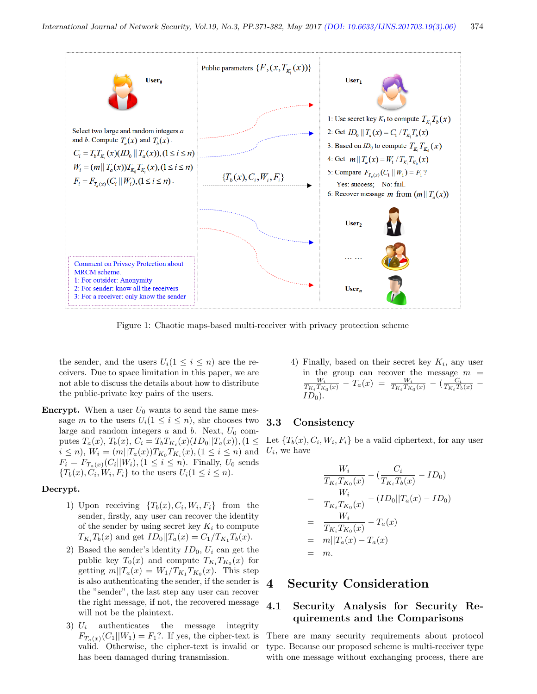

Figure 1: Chaotic maps-based multi-receiver with privacy protection scheme

the sender, and the users  $U_i(1 \leq i \leq n)$  are the receivers. Due to space limitation in this paper, we are not able to discuss the details about how to distribute the public-private key pairs of the users.

**Encrypt.** When a user  $U_0$  wants to send the same message m to the users  $U_i(1 \leq i \leq n)$ , she chooses two **3.3** large and random integers  $a$  and  $b$ . Next,  $U_0$  computes  $T_a(x)$ ,  $T_b(x)$ ,  $C_i = T_b T_{K_i}(x) (ID_0 || T_a(x))$ ,  $(1 \leq$  $i \leq n$ ,  $W_i = (m||T_a(x))T_{K_0}T_{K_i}(x)$ ,  $(1 \leq i \leq n)$  and  $F_i = F_{T_a(x)}(C_i||W_i), (1 \leq i \leq n)$ . Finally,  $U_0$  sends  ${T_b(x), C_i, W_i, F_i}$  to the users  $U_i(1 \leq i \leq n)$ .

#### Decrypt.

- 1) Upon receiving  $\{T_b(x), C_i, W_i, F_i\}$  from the sender, firstly, any user can recover the identity of the sender by using secret key  $K_i$  to compute  $T_{K_i}T_b(x)$  and get  $ID_0||T_a(x) = C_1/T_{K_1}T_b(x)$ .
- 2) Based the sender's identity  $ID_0$ ,  $U_i$  can get the public key  $T_0(x)$  and compute  $T_{K_i}T_{K_0}(x)$  for getting  $m||T_a(x) = W_1/T_{K_1}T_{K_0}(x)$ . This step is also authenticating the sender, if the sender is the "sender", the last step any user can recover the right message, if not, the recovered message will not be the plaintext.
- 3)  $U_i$  authenticates the message integrity  $F_{T_a(x)}(C_1||W_1) = F_1$ ?. If yes, the cipher-text is valid. Otherwise, the cipher-text is invalid or has been damaged during transmission.

4) Finally, based on their secret key  $K_i$ , any user in the group can recover the message  $m = \frac{W_i}{T_{K_i}T_{K_0}(x)} - T_a(x) = \frac{W_i}{T_{K_i}T_{K_0}(x)} - (\frac{C_i}{T_{K_i}T_b(x)} ID_0$ ).

#### **Consistency**

Let  $\{T_b(x), C_i, W_i, F_i\}$  be a valid ciphertext, for any user  $U_i$ , we have

$$
\frac{W_i}{T_{K_i}T_{K_0}(x)} - (\frac{C_i}{T_{K_i}T_b(x)} - ID_0)
$$
\n
$$
= \frac{W_i}{T_{K_i}T_{K_0}(x)} - (ID_0||T_a(x) - ID_0)
$$
\n
$$
= \frac{W_i}{T_{K_i}T_{K_0}(x)} - T_a(x)
$$
\n
$$
= m||T_a(x) - T_a(x)
$$
\n
$$
= m.
$$

# 4 Security Consideration

## 4.1 Security Analysis for Security Requirements and the Comparisons

There are many security requirements about protocol type. Because our proposed scheme is multi-receiver type with one message without exchanging process, there are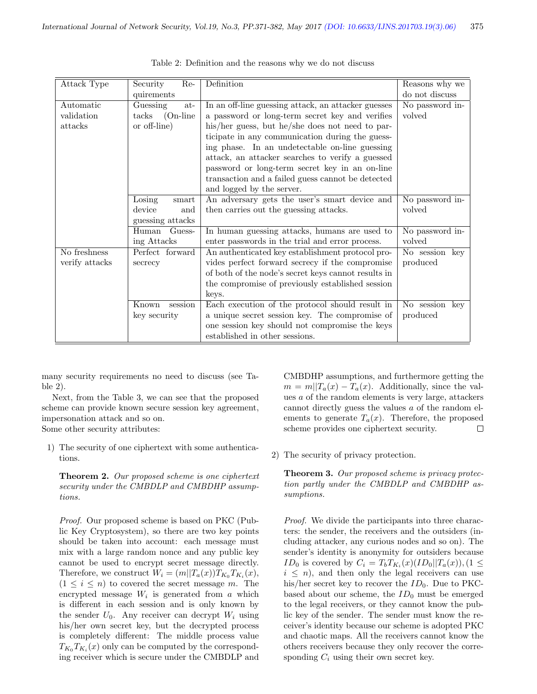| Attack Type    | Security<br>Re-                                                                                                                | Definition                                          | Reasons why we   |  |
|----------------|--------------------------------------------------------------------------------------------------------------------------------|-----------------------------------------------------|------------------|--|
|                | quirements                                                                                                                     |                                                     | do not discuss   |  |
| Automatic      | Guessing<br>at-                                                                                                                | In an off-line guessing attack, an attacker guesses | No password in-  |  |
| validation     | $(On-line)$<br>$\text{tacks}$                                                                                                  | a password or long-term secret key and verifies     | volved           |  |
| attacks        | or off-line)                                                                                                                   | his/her guess, but he/she does not need to par-     |                  |  |
|                |                                                                                                                                | ticipate in any communication during the guess-     |                  |  |
|                |                                                                                                                                | ing phase. In an undetectable on-line guessing      |                  |  |
|                |                                                                                                                                | attack, an attacker searches to verify a guessed    |                  |  |
|                |                                                                                                                                | password or long-term secret key in an on-line      |                  |  |
|                |                                                                                                                                | transaction and a failed guess cannot be detected   |                  |  |
|                |                                                                                                                                | and logged by the server.                           |                  |  |
|                | Losing<br>$\operatorname*{smart}% \nolimits_{\mathbb{Z}}\left( \mathbb{Z}^{\Sigma\left( 1\right) }% ,\mathbb{C}^{\ast}\right)$ | An adversary gets the user's smart device and       | No password $in$ |  |
|                | device<br>and                                                                                                                  | then carries out the guessing attacks.              | volved           |  |
|                | guessing attacks                                                                                                               |                                                     |                  |  |
|                | Guess-<br>Human                                                                                                                | In human guessing attacks, humans are used to       | No password in-  |  |
|                | ing Attacks                                                                                                                    | enter passwords in the trial and error process.     | volved           |  |
| No freshness   | Perfect forward                                                                                                                | An authenticated key establishment protocol pro-    | No session key   |  |
| verify attacks | secrecy                                                                                                                        | vides perfect forward secrecy if the compromise     | produced         |  |
|                |                                                                                                                                | of both of the node's secret keys cannot results in |                  |  |
|                |                                                                                                                                | the compromise of previously established session    |                  |  |
|                |                                                                                                                                | keys.                                               |                  |  |
|                | session<br>Known                                                                                                               | Each execution of the protocol should result in     | No session key   |  |
|                | key security                                                                                                                   | a unique secret session key. The compromise of      | produced         |  |
|                |                                                                                                                                | one session key should not compromise the keys      |                  |  |
|                |                                                                                                                                | established in other sessions.                      |                  |  |

Table 2: Definition and the reasons why we do not discuss

many security requirements no need to discuss (see Table 2).

Next, from the Table 3, we can see that the proposed scheme can provide known secure session key agreement, impersonation attack and so on. Some other security attributes:

1) The security of one ciphertext with some authentica-

tions.

tions.

Theorem 2. Our proposed scheme is one ciphertext security under the CMBDLP and CMBDHP assump-

Proof. Our proposed scheme is based on PKC (Public Key Cryptosystem), so there are two key points should be taken into account: each message must mix with a large random nonce and any public key cannot be used to encrypt secret message directly. Therefore, we construct  $W_i = (m||T_a(x))T_{K_0}T_{K_i}(x)$ ,  $(1 \leq i \leq n)$  to covered the secret message m. The encrypted message  $W_i$  is generated from  $a$  which is different in each session and is only known by the sender  $U_0$ . Any receiver can decrypt  $W_i$  using his/her own secret key, but the decrypted process is completely different: The middle process value  $T_{K_0}T_{K_i}(x)$  only can be computed by the corresponding receiver which is secure under the CMBDLP and

CMBDHP assumptions, and furthermore getting the  $m = m||T_a(x) - T_a(x)$ . Additionally, since the values a of the random elements is very large, attackers cannot directly guess the values a of the random elements to generate  $T_a(x)$ . Therefore, the proposed scheme provides one ciphertext security.  $\Box$ 

2) The security of privacy protection.

**Theorem 3.** Our proposed scheme is privacy protection partly under the CMBDLP and CMBDHP assumptions.

Proof. We divide the participants into three characters: the sender, the receivers and the outsiders (including attacker, any curious nodes and so on). The sender's identity is anonymity for outsiders because *ID*<sub>0</sub> is covered by  $C_i = T_bT_{K_i}(x)(ID_0||T_a(x)),$   $(1 \leq$  $i \leq n$ , and then only the legal receivers can use his/her secret key to recover the  $ID_0$ . Due to PKCbased about our scheme, the  $ID_0$  must be emerged to the legal receivers, or they cannot know the public key of the sender. The sender must know the receiver's identity because our scheme is adopted PKC and chaotic maps. All the receivers cannot know the others receivers because they only recover the corresponding  $C_i$  using their own secret key.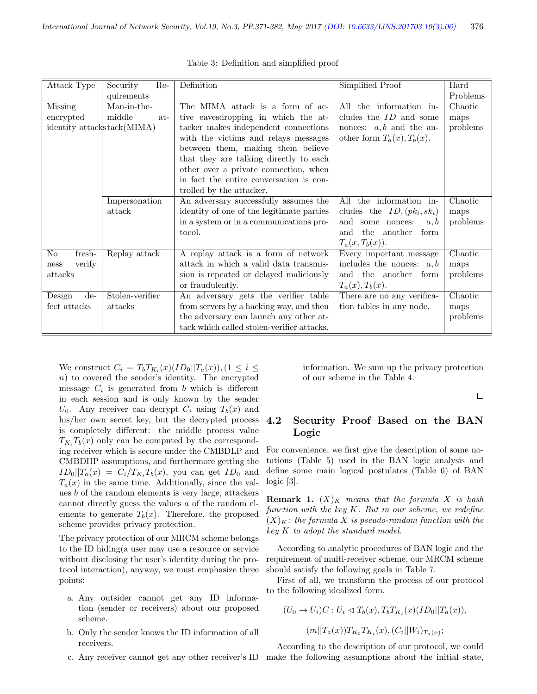| Attack Type                         | Security<br>Re- | Definition                                                         | Simplified Proof                 | Hard     |
|-------------------------------------|-----------------|--------------------------------------------------------------------|----------------------------------|----------|
|                                     | quirements      |                                                                    |                                  | Problems |
| Missing                             | Man-in-the-     | The MIMA attack is a form of ac-                                   | the information in-<br>All       | Chaotic  |
| encrypted                           | middle<br>at-   | tive eavesdropping in which the at-                                | cludes the $ID$ and some         | maps     |
| identity attackstack(MIMA)          |                 | tacker makes independent connections<br>nonces: $a, b$ and the an- |                                  | problems |
|                                     |                 | with the victims and relays messages                               | other form $T_a(x)$ , $T_b(x)$ . |          |
|                                     |                 | between them, making them believe                                  |                                  |          |
|                                     |                 | that they are talking directly to each                             |                                  |          |
|                                     |                 | other over a private connection, when                              |                                  |          |
|                                     |                 | in fact the entire conversation is con-                            |                                  |          |
|                                     |                 | trolled by the attacker.                                           |                                  |          |
|                                     | Impersonation   | An adversary successfully assumes the                              | the information in-<br>All       | Chaotic  |
|                                     | attack          | identity of one of the legitimate parties                          | cludes the $ID, (pk_i, sk_i)$    | maps     |
|                                     |                 | in a system or in a communications pro-                            | and<br>some nonces:<br>a, b      | problems |
|                                     |                 | tocol.                                                             | the<br>form<br>another<br>and    |          |
|                                     |                 |                                                                    | $T_a(x,T_b(x)).$                 |          |
| No<br>fresh-                        | Replay attack   | A replay attack is a form of network                               | Every important message          | Chaotic  |
| verify<br>ness                      |                 | attack in which a valid data transmis-                             | includes the nonces: $a, b$      | maps     |
| attacks                             |                 | sion is repeated or delayed maliciously                            | the another form<br>and          | problems |
|                                     |                 | or fraudulently.                                                   | $T_a(x)$ , $T_b(x)$ .            |          |
| $\overline{\mathrm{Design}}$<br>de- | Stolen-verifier | An adversary gets the verifier table                               | There are no any verifica-       | Chaotic  |
| fect attacks                        | attacks         | from servers by a hacking way, and then                            | tion tables in any node.         | maps     |
|                                     |                 | the adversary can launch any other at-                             |                                  | problems |
|                                     |                 | tack which called stolen-verifier attacks.                         |                                  |          |

Table 3: Definition and simplified proof

We construct  $C_i = T_b T_{K_i}(x) (ID_0 || T_a(x))$ ,  $(1 \leq i \leq$ n) to covered the sender's identity. The encrypted message  $C_i$  is generated from b which is different in each session and is only known by the sender  $U_0$ . Any receiver can decrypt  $C_i$  using  $T_b(x)$  and his/her own secret key, but the decrypted process is completely different: the middle process value  $T_{K_i}T_b(x)$  only can be computed by the corresponding receiver which is secure under the CMBDLP and CMBDHP assumptions, and furthermore getting the  $ID_0||T_a(x) = C_i/T_{K_i}T_b(x)$ , you can get  $ID_0$  and  $T_a(x)$  in the same time. Additionally, since the values b of the random elements is very large, attackers cannot directly guess the values a of the random elements to generate  $T_b(x)$ . Therefore, the proposed scheme provides privacy protection.

The privacy protection of our MRCM scheme belongs to the ID hiding(a user may use a resource or service without disclosing the user's identity during the protocol interaction), anyway, we must emphasize three points:

- a. Any outsider cannot get any ID information (sender or receivers) about our proposed scheme.
- b. Only the sender knows the ID information of all receivers.
- 

information. We sum up the privacy protection of our scheme in the Table 4.

 $\Box$ 

# 4.2 Security Proof Based on the BAN Logic

For convenience, we first give the description of some notations (Table 5) used in the BAN logic analysis and define some main logical postulates (Table 6) of BAN logic [3].

**Remark 1.**  $(X)_K$  means that the formula X is hash function with the key K. But in our scheme, we redefine  $(X)_K$ : the formula X is pseudo-random function with the key K to adopt the standard model.

According to analytic procedures of BAN logic and the requirement of multi-receiver scheme, our MRCM scheme should satisfy the following goals in Table 7.

First of all, we transform the process of our protocol to the following idealized form.

$$
(U_0 \to U_i)C: U_i \vartriangleleft T_b(x), T_bT_{K_i}(x)(ID_0||T_a(x)),
$$

 $(m||T_a(x))T_{K_0}T_{K_i}(x), (C_i||W_i)_{T_a(x)};$ 

c. Any receiver cannot get any other receiver's ID make the following assumptions about the initial state,According to the description of our protocol, we could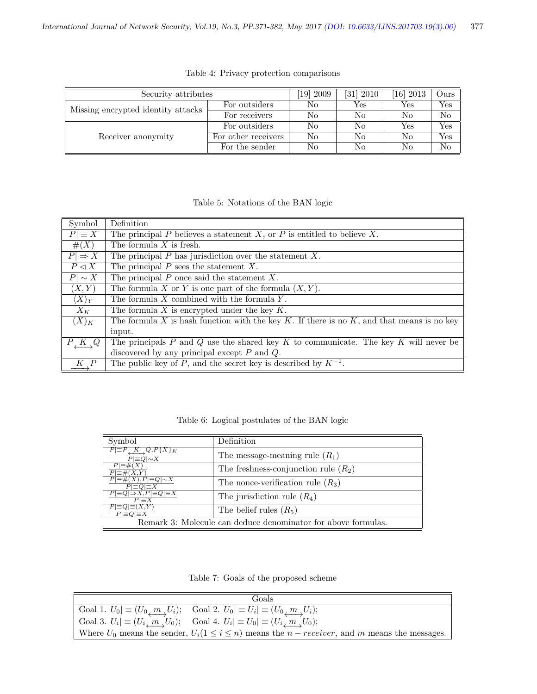| Security attributes                | 2009<br>19]         | [31] 2010 | [16] 2013 | Ours |     |
|------------------------------------|---------------------|-----------|-----------|------|-----|
| Missing encrypted identity attacks | For outsiders       | No        | Yes       | Yes  | Yes |
|                                    | For receivers       | No        | No        | No   | No  |
|                                    | For outsiders       | No        | No        | Yes  | Yes |
| Receiver anonymity                 | For other receivers | No        | No        | No   | Yes |
|                                    | For the sender      | No        | No        | No   | No  |

Table 4: Privacy protection comparisons

## Table 5: Notations of the BAN logic

| Symbol                | Definition                                                                                      |
|-----------------------|-------------------------------------------------------------------------------------------------|
| $P  \equiv X$         | The principal P believes a statement X, or P is entitled to believe X.                          |
| #(X)                  | The formula $X$ is fresh.                                                                       |
| $P \Rightarrow X$     | The principal $P$ has jurisdiction over the statement $X$ .                                     |
| $P \lhd X$            | The principal $P$ sees the statement $X$ .                                                      |
| $P \sim X$            | The principal $P$ once said the statement $X$ .                                                 |
| (X, Y)                | The formula X or Y is one part of the formula $(X, Y)$ .                                        |
| $\langle X\rangle_Y$  | The formula $X$ combined with the formula $Y$ .                                                 |
| $X_K$                 | The formula $X$ is encrypted under the key $K$ .                                                |
| $(X)_K$               | The formula X is hash function with the key $K$ . If there is no $K$ , and that means is no key |
|                       | input.                                                                                          |
| $P_{\perp}K_{\perp}Q$ | The principals $P$ and $Q$ use the shared key $K$ to communicate. The key $K$ will never be     |
|                       | discovered by any principal except $P$ and $Q$ .                                                |
|                       | The public key of P, and the secret key is described by $K^{-1}$ .                              |

Table 6: Logical postulates of the BAN logic

| Symbol                                                         | Definition                                                    |
|----------------------------------------------------------------|---------------------------------------------------------------|
| $P \equiv P, K, Q, P\{X\}_K$<br>$P\vert \equiv Q \vert \sim X$ | The message-meaning rule $(R_1)$                              |
| $P \equiv \#(X)$<br>$P\vert \equiv \#(X,Y)$                    | The freshness-conjunction rule $(R_2)$                        |
| $P\equiv\#(X), P\equiv Q\sim X$<br>$P\equiv Q\equiv X$         | The nonce-verification rule $(R_3)$                           |
| $P\equiv Q \rightarrow X, P\equiv Q \equiv X$<br>$P \equiv X$  | The jurisdiction rule $(R_4)$                                 |
| $P\equiv Q \equiv (X,Y)$<br>$P\equiv Q \equiv X$               | The belief rules $(R_5)$                                      |
|                                                                | Remark 3: Molecule can deduce denominator for above formulas. |

Table 7: Goals of the proposed scheme

| Goals                                                                                                          |
|----------------------------------------------------------------------------------------------------------------|
| $\text{Goal } 1. \ U_0 \equiv (U_0 \_m U_i); \quad \text{Goal } 2. \ U_0 \equiv U_i \equiv (U_0 \_m U_i);$     |
| $\text{Goal } 3. \ U_i \equiv (U_i \ m \ U_0); \quad \text{Goal } 4. \ U_i \equiv U_0 \equiv (U_i \ m \ U_0);$ |
| Where $U_0$ means the sender, $U_i(1 \leq i \leq n)$ means the $n-receiver$ , and m means the messages.        |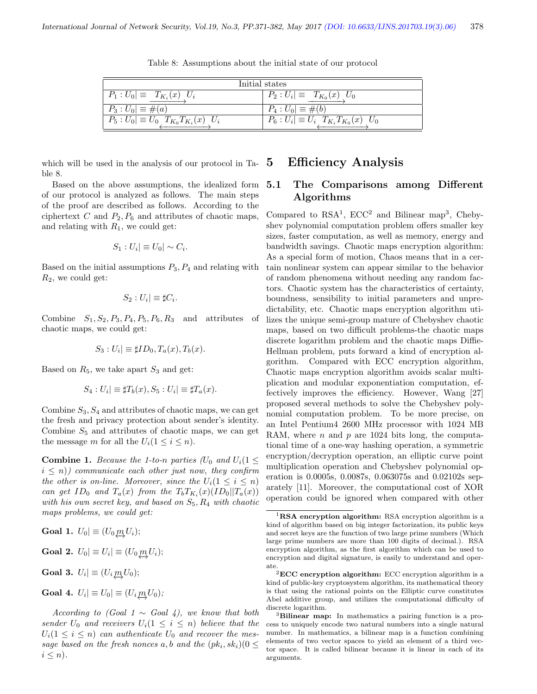| Initial states                                     |                                                        |  |  |
|----------------------------------------------------|--------------------------------------------------------|--|--|
| $P_1: U_0 \equiv T_{K_i}(x) U_i$                   | $ P_2:U_i \equiv T_{K_0}(x)U_0$                        |  |  |
| $P_3: U_0  \equiv \#(a)$                           | $P_4: U_0  \equiv \#(b)$                               |  |  |
| $P_5: U_0 \equiv U_0 \, T_{K_0} T_{K_i}(x) \, U_i$ | $ P_6:U_i \equiv U_i\left[T_{K_i}T_{K_0}(x)\right]U_0$ |  |  |

Table 8: Assumptions about the initial state of our protocol

which will be used in the analysis of our protocol in Table 8.

Based on the above assumptions, the idealized form of our protocol is analyzed as follows. The main steps of the proof are described as follows. According to the ciphertext  $C$  and  $P_2, P_6$  and attributes of chaotic maps, and relating with  $R_1$ , we could get:

$$
S_1: U_i| \equiv U_0| \sim C_i.
$$

Based on the initial assumptions  $P_3$ ,  $P_4$  and relating with  $R_2$ , we could get:

$$
S_2: U_i| \equiv \sharp C_i.
$$

Combine  $S_1, S_2, P_3, P_4, P_5, P_6, R_3$  and attributes of chaotic maps, we could get:

$$
S_3: U_i| \equiv \sharp ID_0, T_a(x), T_b(x).
$$

Based on  $R_5$ , we take apart  $S_3$  and get:

$$
S_4: U_i \equiv \sharp T_b(x), S_5: U_i \equiv \sharp T_a(x).
$$

Combine  $S_3, S_4$  and attributes of chaotic maps, we can get the fresh and privacy protection about sender's identity. Combine  $S_5$  and attributes of chaotic maps, we can get the message m for all the  $U_i(1 \leq i \leq n)$ .

**Combine 1.** Because the 1-to-n parties ( $U_0$  and  $U_i$  (1  $\leq$  $i \leq n$ ) communicate each other just now, they confirm the other is on-line. Moreover, since the  $U_i(1 \leq i \leq n)$ can get  $ID_0$  and  $T_a(x)$  from the  $T_bT_{K_i}(x)(ID_0||T_a(x))$ with his own secret key, and based on  $S_5, R_4$  with chaotic maps problems, we could get:

**Goal 1.** 
$$
U_0 \equiv (U_0 \underbrace{m}{\rightarrow} U_i);
$$

**Goal 2.**  $U_0 \equiv U_i \equiv (U_0 \underbrace{m}{\rightarrow} U_i);$ 

**Goal 3.** 
$$
U_i | \equiv (U_i \underbrace{m_i} U_0);
$$

**Goal 4.** 
$$
U_i | \equiv U_0 | \equiv (U_i \underline{m}_i U_0);
$$

According to (Goal 1  $\sim$  Goal 4), we know that both sender  $U_0$  and receivers  $U_i(1 \leq i \leq n)$  believe that the  $U_i(1 \leq i \leq n)$  can authenticate  $U_0$  and recover the message based on the fresh nonces a, b and the  $(pk_i, sk_i)$  ( $0 \leq$  $i \leq n$ .

# 5 Efficiency Analysis

## 5.1 The Comparisons among Different Algorithms

Compared to  $RSA<sup>1</sup>$ ,  $ECC<sup>2</sup>$  and Bilinear map<sup>3</sup>, Chebyshev polynomial computation problem offers smaller key sizes, faster computation, as well as memory, energy and bandwidth savings. Chaotic maps encryption algorithm: As a special form of motion, Chaos means that in a certain nonlinear system can appear similar to the behavior of random phenomena without needing any random factors. Chaotic system has the characteristics of certainty, boundness, sensibility to initial parameters and unpredictability, etc. Chaotic maps encryption algorithm utilizes the unique semi-group mature of Chebyshev chaotic maps, based on two difficult problems-the chaotic maps discrete logarithm problem and the chaotic maps Diffie-Hellman problem, puts forward a kind of encryption algorithm. Compared with ECC encryption algorithm, Chaotic maps encryption algorithm avoids scalar multiplication and modular exponentiation computation, effectively improves the efficiency. However, Wang [27] proposed several methods to solve the Chebyshev polynomial computation problem. To be more precise, on an Intel Pentium4 2600 MHz processor with 1024 MB RAM, where  $n$  and  $p$  are 1024 bits long, the computational time of a one-way hashing operation, a symmetric encryption/decryption operation, an elliptic curve point multiplication operation and Chebyshev polynomial operation is 0.0005s, 0.0087s, 0.063075s and 0.02102s separately [11]. Moreover, the computational cost of XOR operation could be ignored when compared with other

 ${}^{1}$ RSA encryption algorithm: RSA encryption algorithm is a kind of algorithm based on big integer factorization, its public keys and secret keys are the function of two large prime numbers (Which large prime numbers are more than 100 digits of decimal.). RSA encryption algorithm, as the first algorithm which can be used to encryption and digital signature, is easily to understand and operate.

 $^2\mathbf{ECC}$  encryption algorithm: ECC encryption algorithm is a kind of public-key cryptosystem algorithm, its mathematical theory is that using the rational points on the Elliptic curve constitutes Abel additive group, and utilizes the computational difficulty of discrete logarithm.

<sup>&</sup>lt;sup>3</sup>Bilinear map: In mathematics a pairing function is a process to uniquely encode two natural numbers into a single natural number. In mathematics, a bilinear map is a function combining elements of two vector spaces to yield an element of a third vector space. It is called bilinear because it is linear in each of its arguments.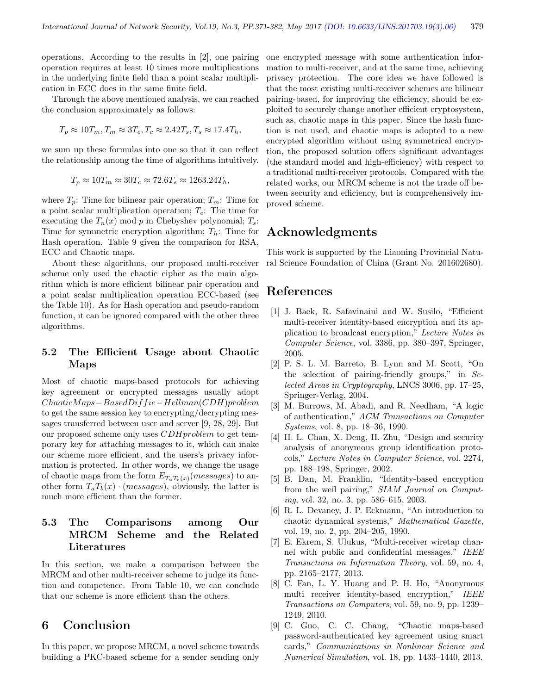operations. According to the results in [2], one pairing operation requires at least 10 times more multiplications in the underlying finite field than a point scalar multiplication in ECC does in the same finite field.

Through the above mentioned analysis, we can reached the conclusion approximately as follows:

$$
T_p \approx 10T_m, T_m \approx 3T_c, T_c \approx 2.42T_s, T_s \approx 17.4T_h,
$$

we sum up these formulas into one so that it can reflect the relationship among the time of algorithms intuitively.

$$
T_p \approx 10 T_m \approx 30 T_c \approx 72.6 T_s \approx 1263.24 T_h,
$$

where  $T_p$ : Time for bilinear pair operation;  $T_m$ : Time for a point scalar multiplication operation;  $T_c$ : The time for executing the  $T_n(x)$  mod p in Chebyshev polynomial;  $T_s$ : Time for symmetric encryption algorithm;  $T_h$ : Time for Hash operation. Table 9 given the comparison for RSA, ECC and Chaotic maps.

About these algorithms, our proposed multi-receiver scheme only used the chaotic cipher as the main algorithm which is more efficient bilinear pair operation and a point scalar multiplication operation ECC-based (see the Table 10). As for Hash operation and pseudo-random function, it can be ignored compared with the other three algorithms.

## 5.2 The Efficient Usage about Chaotic Maps

Most of chaotic maps-based protocols for achieving key agreement or encrypted messages usually adopt ChaoticM aps−BasedDiff ie−Hellman(CDH)problem to get the same session key to encrypting/decrypting messages transferred between user and server [9, 28, 29]. But our proposed scheme only uses CDHproblem to get temporary key for attaching messages to it, which can make our scheme more efficient, and the users's privacy information is protected. In other words, we change the usage of chaotic maps from the form  $E_{T_aT_b(x)}(message)$  to another form  $T_aT_b(x) \cdot (messages)$ , obviously, the latter is much more efficient than the former.

# 5.3 The Comparisons among Our MRCM Scheme and the Related Literatures

In this section, we make a comparison between the MRCM and other multi-receiver scheme to judge its function and competence. From Table 10, we can conclude that our scheme is more efficient than the others.

# 6 Conclusion

In this paper, we propose MRCM, a novel scheme towards building a PKC-based scheme for a sender sending only

one encrypted message with some authentication information to multi-receiver, and at the same time, achieving privacy protection. The core idea we have followed is that the most existing multi-receiver schemes are bilinear pairing-based, for improving the efficiency, should be exploited to securely change another efficient cryptosystem, such as, chaotic maps in this paper. Since the hash function is not used, and chaotic maps is adopted to a new encrypted algorithm without using symmetrical encryption, the proposed solution offers significant advantages (the standard model and high-efficiency) with respect to a traditional multi-receiver protocols. Compared with the related works, our MRCM scheme is not the trade off between security and efficiency, but is comprehensively improved scheme.

# Acknowledgments

This work is supported by the Liaoning Provincial Natural Science Foundation of China (Grant No. 201602680).

# References

- [1] J. Baek, R. Safavinaini and W. Susilo, "Efficient multi-receiver identity-based encryption and its application to broadcast encryption," Lecture Notes in Computer Science, vol. 3386, pp. 380–397, Springer, 2005.
- [2] P. S. L. M. Barreto, B. Lynn and M. Scott, "On the selection of pairing-friendly groups," in Selected Areas in Cryptography, LNCS 3006, pp. 17–25, Springer-Verlag, 2004.
- [3] M. Burrows, M. Abadi, and R. Needham, "A logic of authentication," ACM Transactions on Computer Systems, vol. 8, pp. 18–36, 1990.
- [4] H. L. Chan, X. Deng, H. Zhu, "Design and security analysis of anonymous group identification protocols," Lecture Notes in Computer Science, vol. 2274, pp. 188–198, Springer, 2002.
- [5] B. Dan, M. Franklin, "Identity-based encryption from the weil pairing," SIAM Journal on Computing, vol. 32, no. 3, pp. 586–615, 2003.
- [6] R. L. Devaney, J. P. Eckmann, "An introduction to chaotic dynamical systems," Mathematical Gazette, vol. 19, no. 2, pp. 204–205, 1990.
- [7] E. Ekrem, S. Ulukus, "Multi-receiver wiretap channel with public and confidential messages," IEEE Transactions on Information Theory, vol. 59, no. 4, pp. 2165–2177, 2013.
- [8] C. Fan, L. Y. Huang and P. H. Ho, "Anonymous multi receiver identity-based encryption," IEEE Transactions on Computers, vol. 59, no. 9, pp. 1239– 1249, 2010.
- [9] C. Guo, C. C. Chang, "Chaotic maps-based password-authenticated key agreement using smart cards," Communications in Nonlinear Science and Numerical Simulation, vol. 18, pp. 1433–1440, 2013.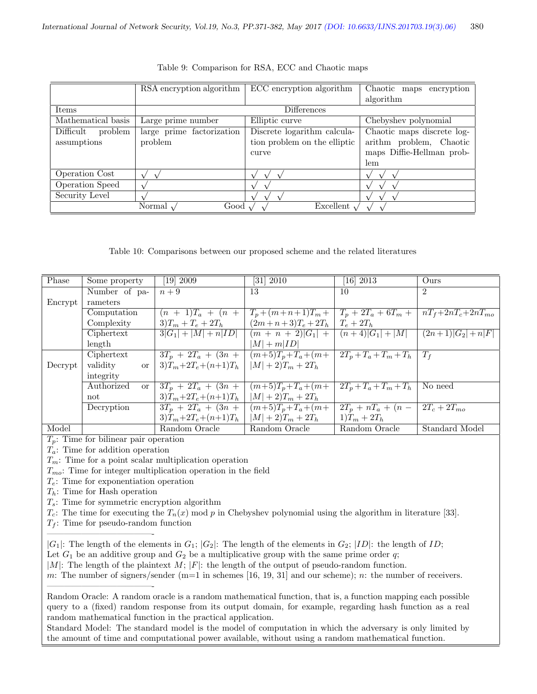|                      | RSA encryption algorithm  | ECC encryption algorithm     | Chaotic maps encryption    |  |
|----------------------|---------------------------|------------------------------|----------------------------|--|
|                      |                           |                              | algorithm                  |  |
| Items                |                           | Differences                  |                            |  |
| Mathematical basis   | Large prime number        | Elliptic curve               | Chebyshev polynomial       |  |
| Difficult<br>problem | large prime factorization | Discrete logarithm calcula-  | Chaotic maps discrete log- |  |
| assumptions          | problem                   | tion problem on the elliptic | arithm problem, Chaotic    |  |
|                      |                           | curve                        | maps Diffie-Hellman prob-  |  |
|                      |                           |                              | lem                        |  |
| Operation Cost       |                           |                              |                            |  |
| Operation Speed      |                           |                              |                            |  |
| Security Level       |                           |                              |                            |  |
|                      | Normal<br>Good            | Excellent $\sim$             |                            |  |

Table 9: Comparison for RSA, ECC and Chaotic maps

Table 10: Comparisons between our proposed scheme and the related literatures

| Some property               | [19] 2009             | $[31]$ 2010            | $[16]$ 2013                         | Ours                      |
|-----------------------------|-----------------------|------------------------|-------------------------------------|---------------------------|
| Number of pa-               | $n+9$                 | 13                     | 10                                  | $\overline{2}$            |
| rameters                    |                       |                        |                                     |                           |
| Computation                 | $(n + 1)T_a + (n +$   |                        | $T_p + 2T_a + 6T_m +$               | $nT_f + 2nT_c + 2nT_{mo}$ |
| Complexity                  | $3T_m + T_e + 2T_h$   | $(2m+n+3)T_e + 2T_h$   | $T_e + 2T_h$                        |                           |
| Ciphertext                  |                       |                        | $(n+4) G_1 + M $                    | $(2n+1) G_2 +n F $        |
| length                      |                       | $ M  + m ID $          |                                     |                           |
| Ciphertext                  | $3T_p + 2T_a + (3n +$ | $(m+5)T_p + T_a + (m+$ | $2T_p+T_a+T_m+T_h$                  | $T_f$                     |
| validity<br><b>or</b>       | $3)T_m+2T_e+(n+1)T_h$ | $ M  + 2T_m + 2T_h$    |                                     |                           |
| integrity                   |                       |                        |                                     |                           |
| Authorized<br><sub>or</sub> | $3T_p + 2T_a + (3n +$ | $(m+5)T_p + T_a + (m+$ | $\overline{2T_p} + T_a + T_m + T_h$ | No need                   |
| not                         | $3)T_m+2T_e+(n+1)T_h$ | $ M  + 2T_m + 2T_h$    |                                     |                           |
| Decryption                  | $3T_p + 2T_a + (3n +$ | $(m+5)T_p + T_a + (m+$ | $2T_p + nT_a + (n -$                | $2T_c + 2T_{mo}$          |
|                             | $3)T_m+2T_e+(n+1)T_h$ | $ M  + 2T_m + 2T_h$    | $1)T_m + 2T_h$                      |                           |
|                             | Random Oracle         | Random Oracle          | Random Oracle                       | Standard Model            |
|                             |                       | $3 G_1 + M +n ID $     | $T_p + (m+n+1)T_m +$                | $(m + n + 2) G_1  +$      |

 $T_p$ : Time for bilinear pair operation

 $T_a$ : Time for addition operation

 $T_m$ : Time for a point scalar multiplication operation

 $T_{mo}$ : Time for integer multiplication operation in the field

 $T_e$ : Time for exponentiation operation

 $T_h$ : Time for Hash operation

————————————-

————————————-

 $T_s$ : Time for symmetric encryption algorithm

 $T_c$ : The time for executing the  $T_n(x)$  mod p in Chebyshev polynomial using the algorithm in literature [33].

 $T_f$ : Time for pseudo-random function

 $|G_1|$ : The length of the elements in  $G_1$ ;  $|G_2|$ : The length of the elements in  $G_2$ ;  $|ID|$ : the length of  $ID$ ;

Let  $G_1$  be an additive group and  $G_2$  be a multiplicative group with the same prime order q; |M|: The length of the plaintext  $M$ ; |F|: the length of the output of pseudo-random function.

m: The number of signers/sender (m=1 in schemes [16, 19, 31] and our scheme); n: the number of receivers.

Random Oracle: A random oracle is a random mathematical function, that is, a function mapping each possible query to a (fixed) random response from its output domain, for example, regarding hash function as a real random mathematical function in the practical application.

Standard Model: The standard model is the model of computation in which the adversary is only limited by the amount of time and computational power available, without using a random mathematical function.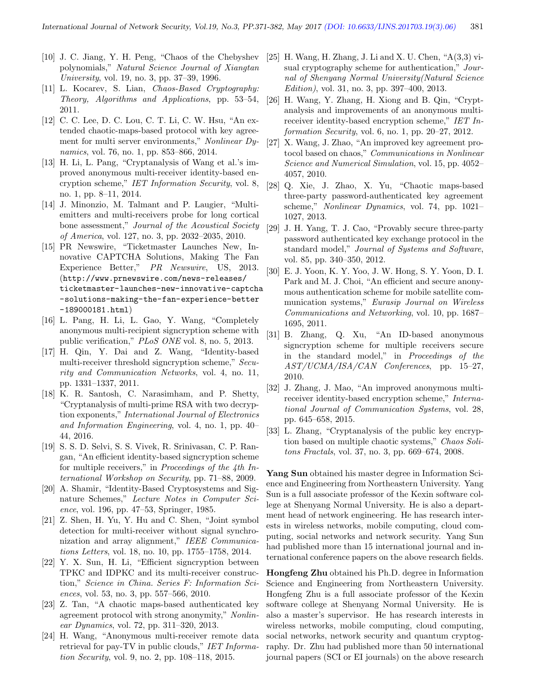- [10] J. C. Jiang, Y. H. Peng, "Chaos of the Chebyshev polynomials," Natural Science Journal of Xiangtan University, vol. 19, no. 3, pp. 37–39, 1996.
- [11] L. Kocarev, S. Lian, *Chaos-Based Cryptography*: Theory, Algorithms and Applications, pp. 53–54, 2011.
- [12] C. C. Lee, D. C. Lou, C. T. Li, C. W. Hsu, "An extended chaotic-maps-based protocol with key agreement for multi server environments," Nonlinear Dynamics, vol. 76, no. 1, pp. 853–866, 2014.
- [13] H. Li, L. Pang, "Cryptanalysis of Wang et al.'s improved anonymous multi-receiver identity-based encryption scheme," IET Information Security, vol. 8, no. 1, pp. 8–11, 2014.
- [14] J. Minonzio, M. Talmant and P. Laugier, "Multiemitters and multi-receivers probe for long cortical bone assessment," Journal of the Acoustical Society of America, vol. 127, no. 3, pp. 2032–2035, 2010.
- [15] PR Newswire, "Ticketmaster Launches New, Innovative CAPTCHA Solutions, Making The Fan Experience Better," PR Newswire, US, 2013. (http://www.prnewswire.com/news-releases/ ticketmaster-launches-new-innovative-captcha -solutions-making-the-fan-experience-better -189000181.html)
- [16] L. Pang, H. Li, L. Gao, Y. Wang, "Completely anonymous multi-recipient signcryption scheme with public verification," PLoS ONE vol. 8, no. 5, 2013.
- [17] H. Qin, Y. Dai and Z. Wang, "Identity-based multi-receiver threshold signcryption scheme," Security and Communication Networks, vol. 4, no. 11, pp. 1331–1337, 2011.
- [18] K. R. Santosh, C. Narasimham, and P. Shetty, "Cryptanalysis of multi-prime RSA with two decryption exponents," International Journal of Electronics and Information Engineering, vol. 4, no. 1, pp. 40– 44, 2016.
- [19] S. S. D. Selvi, S. S. Vivek, R. Srinivasan, C. P. Rangan, "An efficient identity-based signcryption scheme for multiple receivers," in Proceedings of the 4th International Workshop on Security, pp. 71–88, 2009.
- [20] A. Shamir, "Identity-Based Cryptosystems and Signature Schemes," Lecture Notes in Computer Science, vol. 196, pp. 47–53, Springer, 1985.
- [21] Z. Shen, H. Yu, Y. Hu and C. Shen, "Joint symbol detection for multi-receiver without signal synchronization and array alignment," IEEE Communications Letters, vol. 18, no. 10, pp. 1755–1758, 2014.
- [22] Y. X. Sun, H. Li, "Efficient signcryption between TPKC and IDPKC and its multi-receiver construction," Science in China. Series F: Information Sciences, vol. 53, no. 3, pp. 557–566, 2010.
- [23] Z. Tan, "A chaotic maps-based authenticated key agreement protocol with strong anonymity," Nonlinear Dynamics, vol. 72, pp. 311–320, 2013.
- [24] H. Wang, "Anonymous multi-receiver remote data retrieval for pay-TV in public clouds," IET Information Security, vol. 9, no. 2, pp. 108–118, 2015.
- [25] H. Wang, H. Zhang, J. Li and X. U. Chen, "A(3,3) visual cryptography scheme for authentication," Journal of Shenyang Normal University(Natural Science Edition), vol. 31, no. 3, pp. 397–400, 2013.
- [26] H. Wang, Y. Zhang, H. Xiong and B. Qin, "Cryptanalysis and improvements of an anonymous multireceiver identity-based encryption scheme," IET Information Security, vol. 6, no. 1, pp. 20–27, 2012.
- [27] X. Wang, J. Zhao, "An improved key agreement protocol based on chaos," Communications in Nonlinear Science and Numerical Simulation, vol. 15, pp. 4052– 4057, 2010.
- [28] Q. Xie, J. Zhao, X. Yu, "Chaotic maps-based three-party password-authenticated key agreement scheme," Nonlinear Dynamics, vol. 74, pp. 1021– 1027, 2013.
- [29] J. H. Yang, T. J. Cao, "Provably secure three-party password authenticated key exchange protocol in the standard model," Journal of Systems and Software, vol. 85, pp. 340–350, 2012.
- [30] E. J. Yoon, K. Y. Yoo, J. W. Hong, S. Y. Yoon, D. I. Park and M. J. Choi, "An efficient and secure anonymous authentication scheme for mobile satellite communication systems," Eurasip Journal on Wireless Communications and Networking, vol. 10, pp. 1687– 1695, 2011.
- [31] B. Zhang, Q. Xu, "An ID-based anonymous signcryption scheme for multiple receivers secure in the standard model," in Proceedings of the AST/UCMA/ISA/CAN Conferences, pp. 15–27, 2010.
- [32] J. Zhang, J. Mao, "An improved anonymous multireceiver identity-based encryption scheme," International Journal of Communication Systems, vol. 28, pp. 645–658, 2015.
- [33] L. Zhang, "Cryptanalysis of the public key encryption based on multiple chaotic systems," Chaos Solitons Fractals, vol. 37, no. 3, pp. 669–674, 2008.

Yang Sun obtained his master degree in Information Science and Engineering from Northeastern University. Yang Sun is a full associate professor of the Kexin software college at Shenyang Normal University. He is also a department head of network engineering. He has research interests in wireless networks, mobile computing, cloud computing, social networks and network security. Yang Sun had published more than 15 international journal and international conference papers on the above research fields.

Hongfeng Zhu obtained his Ph.D. degree in Information Science and Engineering from Northeastern University. Hongfeng Zhu is a full associate professor of the Kexin software college at Shenyang Normal University. He is also a master's supervisor. He has research interests in wireless networks, mobile computing, cloud computing, social networks, network security and quantum cryptography. Dr. Zhu had published more than 50 international journal papers (SCI or EI journals) on the above research